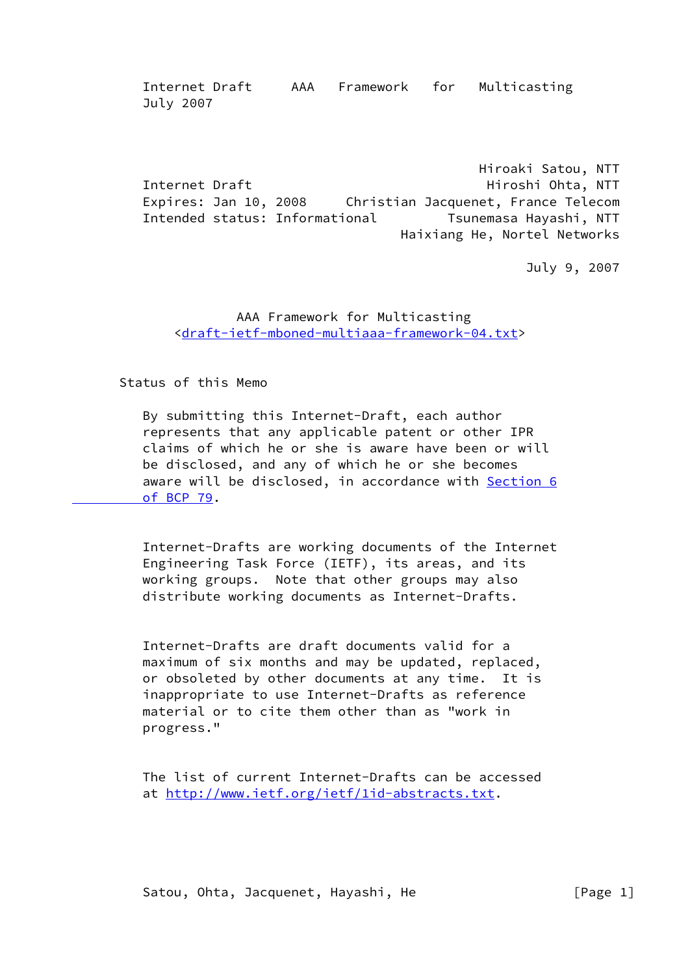Hiroaki Satou, NTT Internet Draft **Hiroshi Ohta, NTT**  Expires: Jan 10, 2008 Christian Jacquenet, France Telecom Intended status: Informational Tsunemasa Hayashi, NTT Haixiang He, Nortel Networks

July 9, 2007

# AAA Framework for Multicasting <[draft-ietf-mboned-multiaaa-framework-04.txt](https://datatracker.ietf.org/doc/pdf/draft-ietf-mboned-multiaaa-framework-04.txt)>

Status of this Memo

 By submitting this Internet-Draft, each author represents that any applicable patent or other IPR claims of which he or she is aware have been or will be disclosed, and any of which he or she becomes aware will be disclosed, in accordance with [Section](https://datatracker.ietf.org/doc/pdf/bcp79#section-6) 6  [of BCP 79.](https://datatracker.ietf.org/doc/pdf/bcp79#section-6)

 Internet-Drafts are working documents of the Internet Engineering Task Force (IETF), its areas, and its working groups. Note that other groups may also distribute working documents as Internet-Drafts.

 Internet-Drafts are draft documents valid for a maximum of six months and may be updated, replaced, or obsoleted by other documents at any time. It is inappropriate to use Internet-Drafts as reference material or to cite them other than as "work in progress."

 The list of current Internet-Drafts can be accessed at [http://www.ietf.org/ietf/1id-abstracts.txt.](http://www.ietf.org/ietf/1id-abstracts.txt)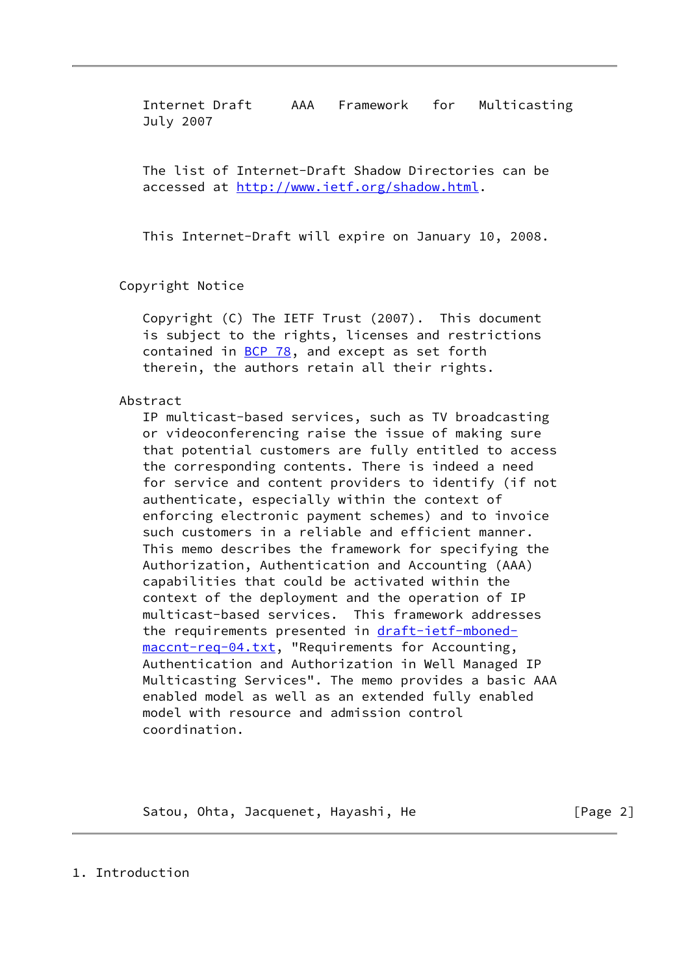The list of Internet-Draft Shadow Directories can be accessed at<http://www.ietf.org/shadow.html>.

This Internet-Draft will expire on January 10, 2008.

Copyright Notice

 Copyright (C) The IETF Trust (2007). This document is subject to the rights, licenses and restrictions contained in **[BCP 78](https://datatracker.ietf.org/doc/pdf/bcp78)**, and except as set forth therein, the authors retain all their rights.

# Abstract

 IP multicast-based services, such as TV broadcasting or videoconferencing raise the issue of making sure that potential customers are fully entitled to access the corresponding contents. There is indeed a need for service and content providers to identify (if not authenticate, especially within the context of enforcing electronic payment schemes) and to invoice such customers in a reliable and efficient manner. This memo describes the framework for specifying the Authorization, Authentication and Accounting (AAA) capabilities that could be activated within the context of the deployment and the operation of IP multicast-based services. This framework addresses the requirements presented in [draft-ietf-mboned](https://datatracker.ietf.org/doc/pdf/draft-ietf-mboned-maccnt-req-04.txt) [maccnt-req-04.txt,](https://datatracker.ietf.org/doc/pdf/draft-ietf-mboned-maccnt-req-04.txt) "Requirements for Accounting, Authentication and Authorization in Well Managed IP Multicasting Services". The memo provides a basic AAA enabled model as well as an extended fully enabled model with resource and admission control coordination.

Satou, Ohta, Jacquenet, Hayashi, He **compare 19** [Page 2]

1. Introduction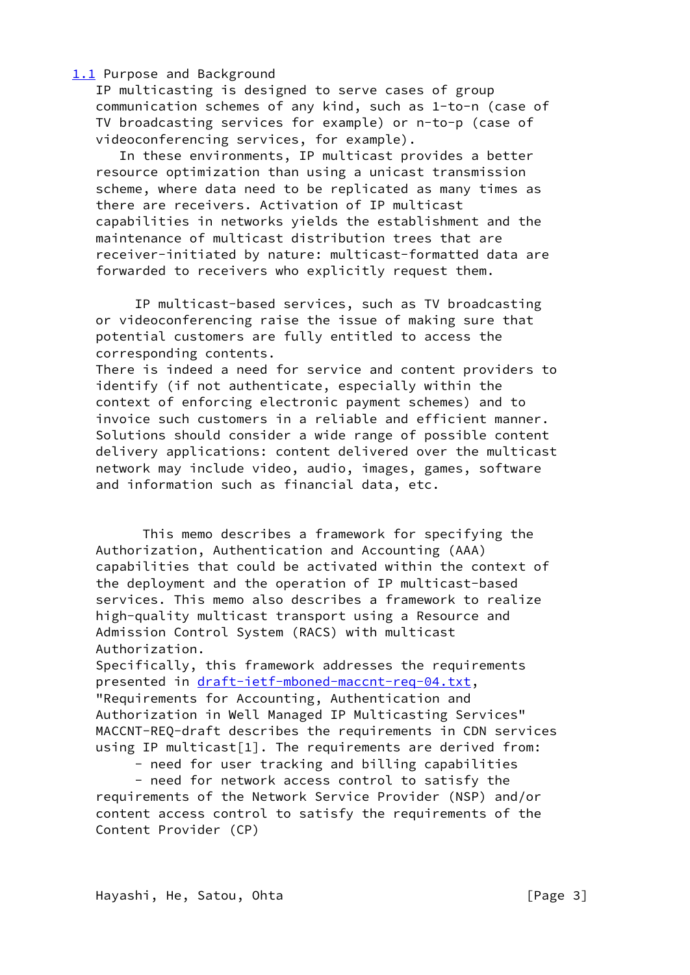<span id="page-2-0"></span>[1.1](#page-2-0) Purpose and Background

 IP multicasting is designed to serve cases of group communication schemes of any kind, such as 1-to-n (case of TV broadcasting services for example) or n-to-p (case of videoconferencing services, for example).

 In these environments, IP multicast provides a better resource optimization than using a unicast transmission scheme, where data need to be replicated as many times as there are receivers. Activation of IP multicast capabilities in networks yields the establishment and the maintenance of multicast distribution trees that are receiver-initiated by nature: multicast-formatted data are forwarded to receivers who explicitly request them.

 IP multicast-based services, such as TV broadcasting or videoconferencing raise the issue of making sure that potential customers are fully entitled to access the corresponding contents.

 There is indeed a need for service and content providers to identify (if not authenticate, especially within the context of enforcing electronic payment schemes) and to invoice such customers in a reliable and efficient manner. Solutions should consider a wide range of possible content delivery applications: content delivered over the multicast network may include video, audio, images, games, software and information such as financial data, etc.

 This memo describes a framework for specifying the Authorization, Authentication and Accounting (AAA) capabilities that could be activated within the context of the deployment and the operation of IP multicast-based services. This memo also describes a framework to realize high-quality multicast transport using a Resource and Admission Control System (RACS) with multicast Authorization.

 Specifically, this framework addresses the requirements presented in [draft-ietf-mboned-maccnt-req-04.txt](https://datatracker.ietf.org/doc/pdf/draft-ietf-mboned-maccnt-req-04.txt), "Requirements for Accounting, Authentication and Authorization in Well Managed IP Multicasting Services" MACCNT-REQ-draft describes the requirements in CDN services using IP multicast[1]. The requirements are derived from:

- need for user tracking and billing capabilities

 - need for network access control to satisfy the requirements of the Network Service Provider (NSP) and/or content access control to satisfy the requirements of the Content Provider (CP)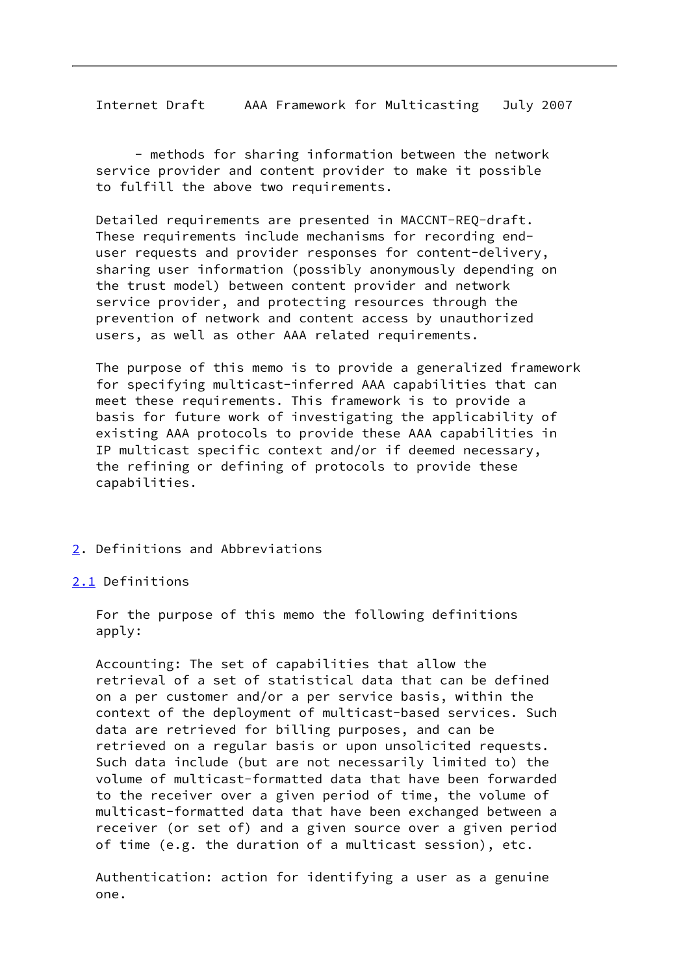- methods for sharing information between the network service provider and content provider to make it possible to fulfill the above two requirements.

 Detailed requirements are presented in MACCNT-REQ-draft. These requirements include mechanisms for recording end user requests and provider responses for content-delivery, sharing user information (possibly anonymously depending on the trust model) between content provider and network service provider, and protecting resources through the prevention of network and content access by unauthorized users, as well as other AAA related requirements.

 The purpose of this memo is to provide a generalized framework for specifying multicast-inferred AAA capabilities that can meet these requirements. This framework is to provide a basis for future work of investigating the applicability of existing AAA protocols to provide these AAA capabilities in IP multicast specific context and/or if deemed necessary, the refining or defining of protocols to provide these capabilities.

- <span id="page-3-0"></span>[2](#page-3-0). Definitions and Abbreviations
- <span id="page-3-1"></span>[2.1](#page-3-1) Definitions

 For the purpose of this memo the following definitions apply:

 Accounting: The set of capabilities that allow the retrieval of a set of statistical data that can be defined on a per customer and/or a per service basis, within the context of the deployment of multicast-based services. Such data are retrieved for billing purposes, and can be retrieved on a regular basis or upon unsolicited requests. Such data include (but are not necessarily limited to) the volume of multicast-formatted data that have been forwarded to the receiver over a given period of time, the volume of multicast-formatted data that have been exchanged between a receiver (or set of) and a given source over a given period of time (e.g. the duration of a multicast session), etc.

 Authentication: action for identifying a user as a genuine one.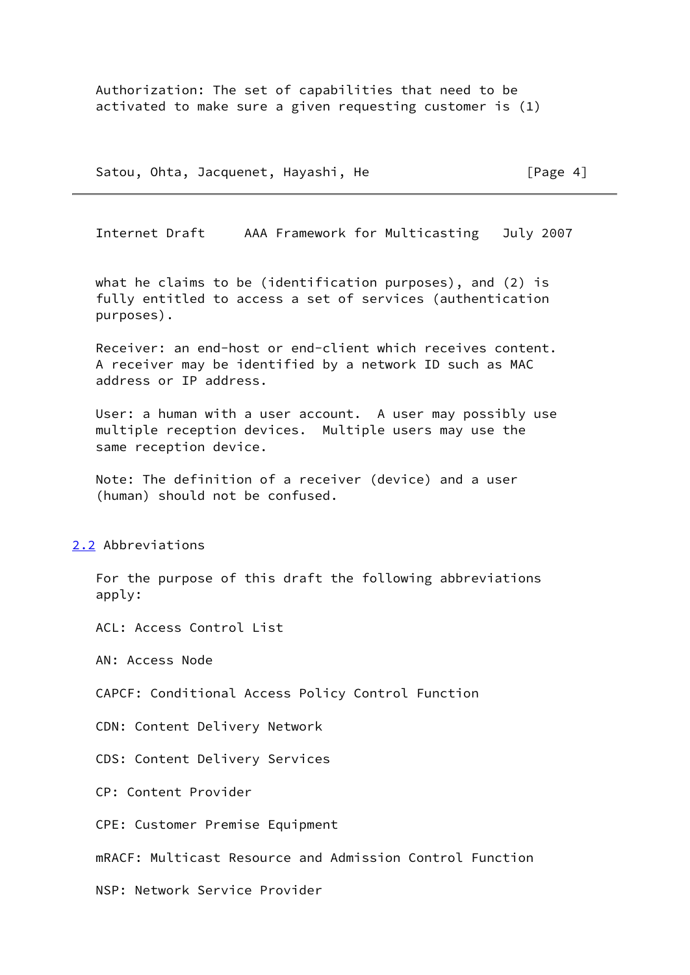Authorization: The set of capabilities that need to be activated to make sure a given requesting customer is (1)

Satou, Ohta, Jacquenet, Hayashi, He [Page 4]

Internet Draft AAA Framework for Multicasting July 2007

 what he claims to be (identification purposes), and (2) is fully entitled to access a set of services (authentication purposes).

 Receiver: an end-host or end-client which receives content. A receiver may be identified by a network ID such as MAC address or IP address.

 User: a human with a user account. A user may possibly use multiple reception devices. Multiple users may use the same reception device.

 Note: The definition of a receiver (device) and a user (human) should not be confused.

<span id="page-4-0"></span>[2.2](#page-4-0) Abbreviations

 For the purpose of this draft the following abbreviations apply:

ACL: Access Control List

AN: Access Node

CAPCF: Conditional Access Policy Control Function

CDN: Content Delivery Network

CDS: Content Delivery Services

CP: Content Provider

CPE: Customer Premise Equipment

mRACF: Multicast Resource and Admission Control Function

NSP: Network Service Provider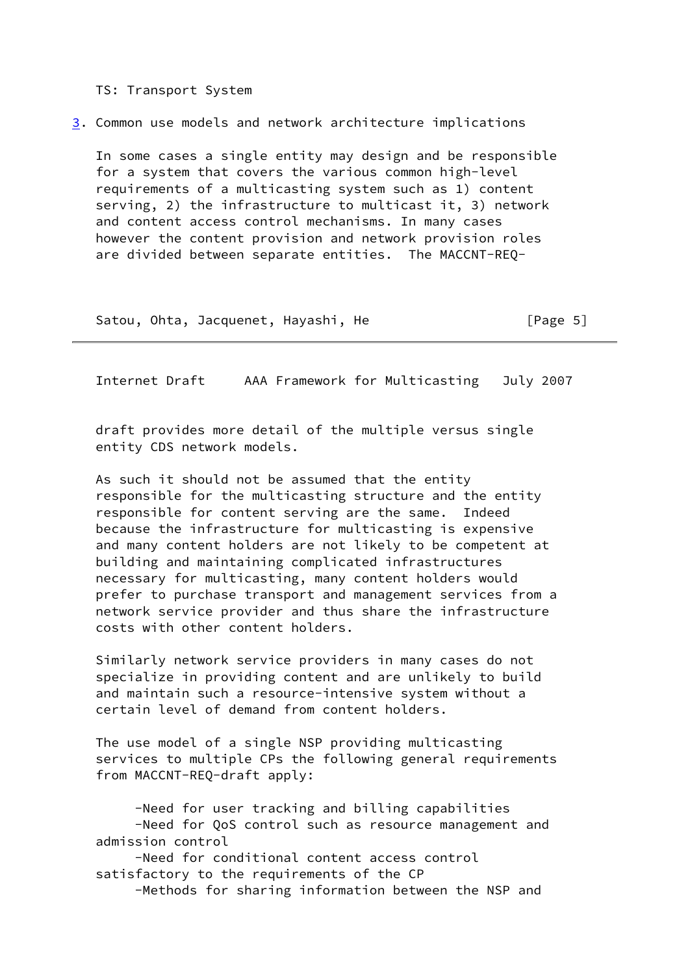TS: Transport System

<span id="page-5-0"></span>[3](#page-5-0). Common use models and network architecture implications

 In some cases a single entity may design and be responsible for a system that covers the various common high-level requirements of a multicasting system such as 1) content serving, 2) the infrastructure to multicast it, 3) network and content access control mechanisms. In many cases however the content provision and network provision roles are divided between separate entities. The MACCNT-REQ-

Satou, Ohta, Jacquenet, Hayashi, He [Page 5]

Internet Draft AAA Framework for Multicasting July 2007

 draft provides more detail of the multiple versus single entity CDS network models.

 As such it should not be assumed that the entity responsible for the multicasting structure and the entity responsible for content serving are the same. Indeed because the infrastructure for multicasting is expensive and many content holders are not likely to be competent at building and maintaining complicated infrastructures necessary for multicasting, many content holders would prefer to purchase transport and management services from a network service provider and thus share the infrastructure costs with other content holders.

 Similarly network service providers in many cases do not specialize in providing content and are unlikely to build and maintain such a resource-intensive system without a certain level of demand from content holders.

 The use model of a single NSP providing multicasting services to multiple CPs the following general requirements from MACCNT-REQ-draft apply:

 -Need for user tracking and billing capabilities -Need for QoS control such as resource management and admission control

 -Need for conditional content access control satisfactory to the requirements of the CP

-Methods for sharing information between the NSP and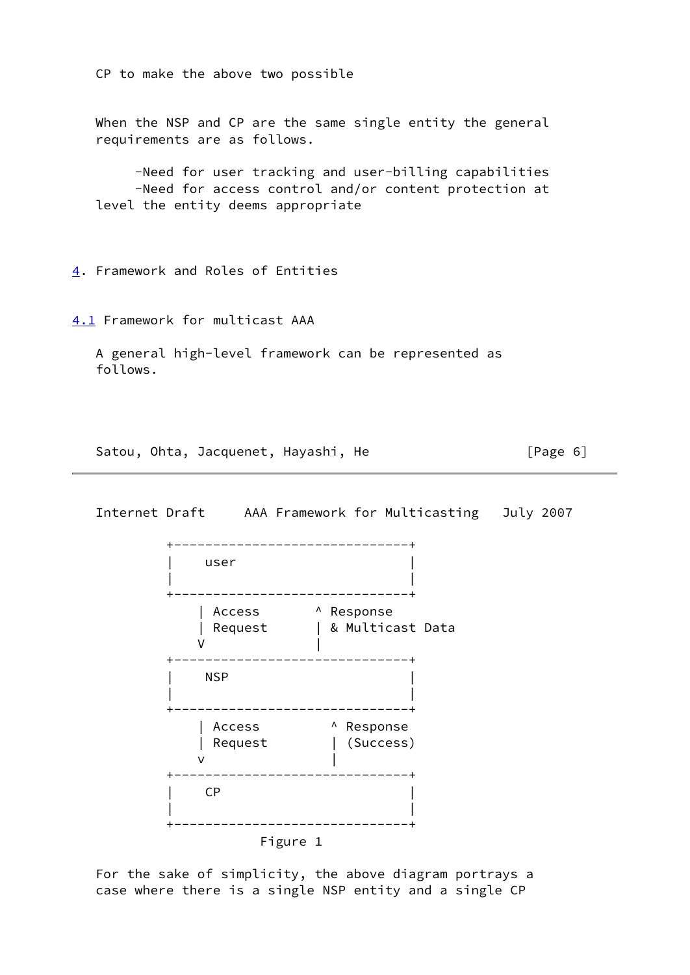CP to make the above two possible

 When the NSP and CP are the same single entity the general requirements are as follows.

 -Need for user tracking and user-billing capabilities -Need for access control and/or content protection at level the entity deems appropriate

<span id="page-6-0"></span>[4](#page-6-0). Framework and Roles of Entities

<span id="page-6-1"></span>[4.1](#page-6-1) Framework for multicast AAA

 A general high-level framework can be represented as follows.

Satou, Ohta, Jacquenet, Hayashi, He [Page 6]



 For the sake of simplicity, the above diagram portrays a case where there is a single NSP entity and a single CP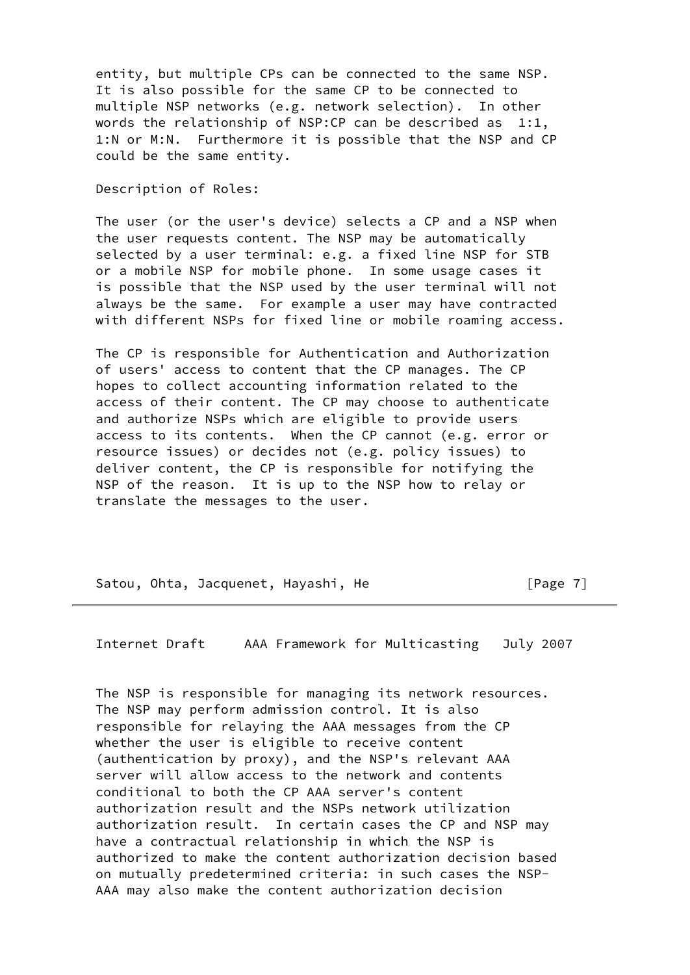entity, but multiple CPs can be connected to the same NSP. It is also possible for the same CP to be connected to multiple NSP networks (e.g. network selection). In other words the relationship of NSP: CP can be described as  $1:1$ , 1:N or M:N. Furthermore it is possible that the NSP and CP could be the same entity.

Description of Roles:

 The user (or the user's device) selects a CP and a NSP when the user requests content. The NSP may be automatically selected by a user terminal: e.g. a fixed line NSP for STB or a mobile NSP for mobile phone. In some usage cases it is possible that the NSP used by the user terminal will not always be the same. For example a user may have contracted with different NSPs for fixed line or mobile roaming access.

 The CP is responsible for Authentication and Authorization of users' access to content that the CP manages. The CP hopes to collect accounting information related to the access of their content. The CP may choose to authenticate and authorize NSPs which are eligible to provide users access to its contents. When the CP cannot (e.g. error or resource issues) or decides not (e.g. policy issues) to deliver content, the CP is responsible for notifying the NSP of the reason. It is up to the NSP how to relay or translate the messages to the user.

Satou, Ohta, Jacquenet, Hayashi, He [Page 7]

Internet Draft AAA Framework for Multicasting July 2007

 The NSP is responsible for managing its network resources. The NSP may perform admission control. It is also responsible for relaying the AAA messages from the CP whether the user is eligible to receive content (authentication by proxy), and the NSP's relevant AAA server will allow access to the network and contents conditional to both the CP AAA server's content authorization result and the NSPs network utilization authorization result. In certain cases the CP and NSP may have a contractual relationship in which the NSP is authorized to make the content authorization decision based on mutually predetermined criteria: in such cases the NSP- AAA may also make the content authorization decision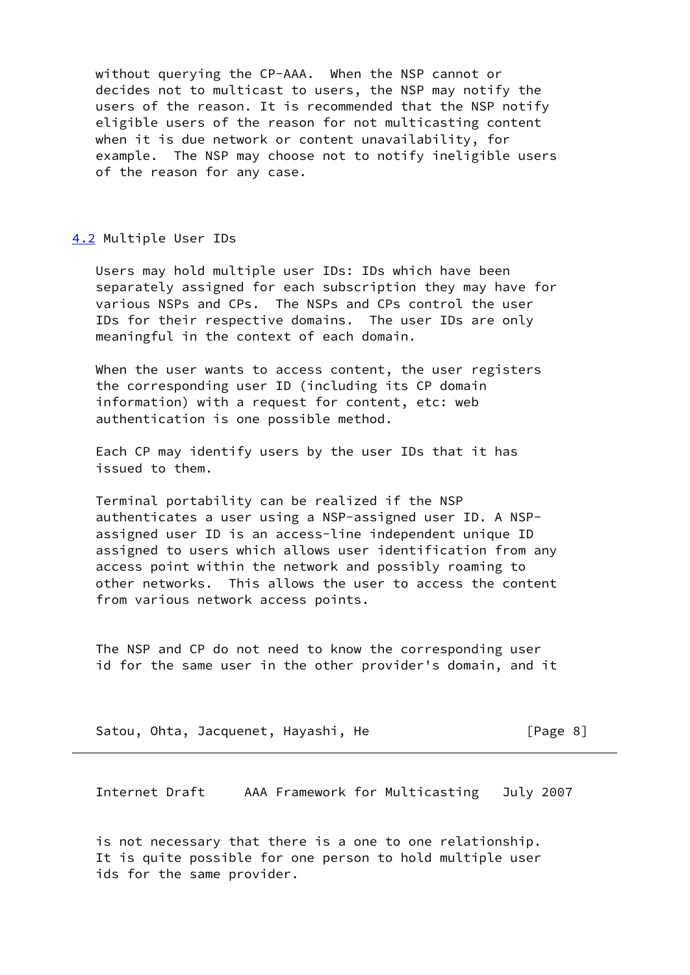without querying the CP-AAA. When the NSP cannot or decides not to multicast to users, the NSP may notify the users of the reason. It is recommended that the NSP notify eligible users of the reason for not multicasting content when it is due network or content unavailability, for example. The NSP may choose not to notify ineligible users of the reason for any case.

# <span id="page-8-0"></span>[4.2](#page-8-0) Multiple User IDs

 Users may hold multiple user IDs: IDs which have been separately assigned for each subscription they may have for various NSPs and CPs. The NSPs and CPs control the user IDs for their respective domains. The user IDs are only meaningful in the context of each domain.

 When the user wants to access content, the user registers the corresponding user ID (including its CP domain information) with a request for content, etc: web authentication is one possible method.

 Each CP may identify users by the user IDs that it has issued to them.

 Terminal portability can be realized if the NSP authenticates a user using a NSP-assigned user ID. A NSP assigned user ID is an access-line independent unique ID assigned to users which allows user identification from any access point within the network and possibly roaming to other networks. This allows the user to access the content from various network access points.

 The NSP and CP do not need to know the corresponding user id for the same user in the other provider's domain, and it

|  |  | Satou, Ohta, Jacquenet, Hayashi, He |  |  | [Page 8] |  |  |
|--|--|-------------------------------------|--|--|----------|--|--|
|--|--|-------------------------------------|--|--|----------|--|--|

Internet Draft AAA Framework for Multicasting July 2007

 is not necessary that there is a one to one relationship. It is quite possible for one person to hold multiple user ids for the same provider.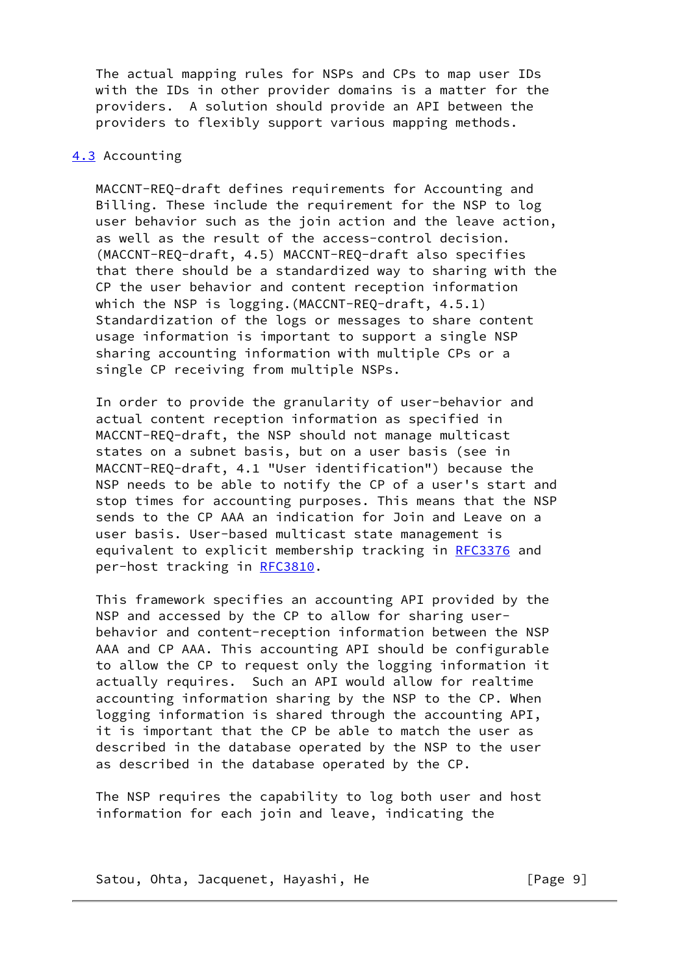The actual mapping rules for NSPs and CPs to map user IDs with the IDs in other provider domains is a matter for the providers. A solution should provide an API between the providers to flexibly support various mapping methods.

# <span id="page-9-0"></span>[4.3](#page-9-0) Accounting

 MACCNT-REQ-draft defines requirements for Accounting and Billing. These include the requirement for the NSP to log user behavior such as the join action and the leave action, as well as the result of the access-control decision. (MACCNT-REQ-draft, 4.5) MACCNT-REQ-draft also specifies that there should be a standardized way to sharing with the CP the user behavior and content reception information which the NSP is logging.(MACCNT-REQ-draft, 4.5.1) Standardization of the logs or messages to share content usage information is important to support a single NSP sharing accounting information with multiple CPs or a single CP receiving from multiple NSPs.

 In order to provide the granularity of user-behavior and actual content reception information as specified in MACCNT-REQ-draft, the NSP should not manage multicast states on a subnet basis, but on a user basis (see in MACCNT-REQ-draft, 4.1 "User identification") because the NSP needs to be able to notify the CP of a user's start and stop times for accounting purposes. This means that the NSP sends to the CP AAA an indication for Join and Leave on a user basis. User-based multicast state management is equivalent to explicit membership tracking in [RFC3376](https://datatracker.ietf.org/doc/pdf/rfc3376) and per-host tracking in [RFC3810](https://datatracker.ietf.org/doc/pdf/rfc3810).

 This framework specifies an accounting API provided by the NSP and accessed by the CP to allow for sharing user behavior and content-reception information between the NSP AAA and CP AAA. This accounting API should be configurable to allow the CP to request only the logging information it actually requires. Such an API would allow for realtime accounting information sharing by the NSP to the CP. When logging information is shared through the accounting API, it is important that the CP be able to match the user as described in the database operated by the NSP to the user as described in the database operated by the CP.

 The NSP requires the capability to log both user and host information for each join and leave, indicating the

Satou, Ohta, Jacquenet, Hayashi, He **computer [Page 9]**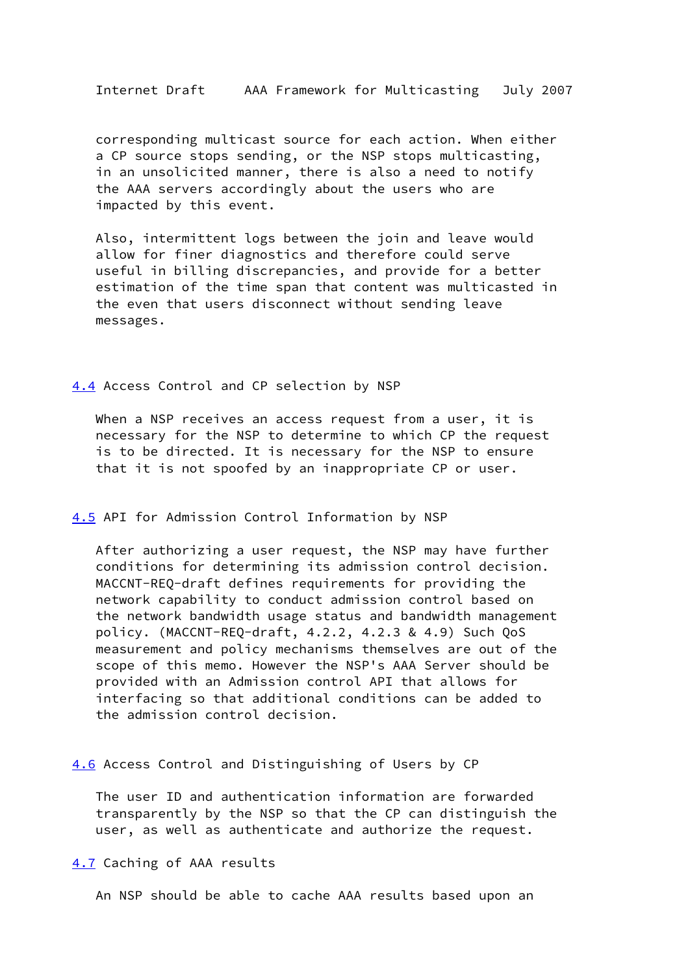corresponding multicast source for each action. When either a CP source stops sending, or the NSP stops multicasting, in an unsolicited manner, there is also a need to notify the AAA servers accordingly about the users who are impacted by this event.

 Also, intermittent logs between the join and leave would allow for finer diagnostics and therefore could serve useful in billing discrepancies, and provide for a better estimation of the time span that content was multicasted in the even that users disconnect without sending leave messages.

# <span id="page-10-0"></span>[4.4](#page-10-0) Access Control and CP selection by NSP

When a NSP receives an access request from a user, it is necessary for the NSP to determine to which CP the request is to be directed. It is necessary for the NSP to ensure that it is not spoofed by an inappropriate CP or user.

#### <span id="page-10-1"></span>[4.5](#page-10-1) API for Admission Control Information by NSP

 After authorizing a user request, the NSP may have further conditions for determining its admission control decision. MACCNT-REQ-draft defines requirements for providing the network capability to conduct admission control based on the network bandwidth usage status and bandwidth management policy. (MACCNT-REQ-draft, 4.2.2, 4.2.3 & 4.9) Such QoS measurement and policy mechanisms themselves are out of the scope of this memo. However the NSP's AAA Server should be provided with an Admission control API that allows for interfacing so that additional conditions can be added to the admission control decision.

### <span id="page-10-2"></span>[4.6](#page-10-2) Access Control and Distinguishing of Users by CP

 The user ID and authentication information are forwarded transparently by the NSP so that the CP can distinguish the user, as well as authenticate and authorize the request.

# <span id="page-10-3"></span>[4.7](#page-10-3) Caching of AAA results

An NSP should be able to cache AAA results based upon an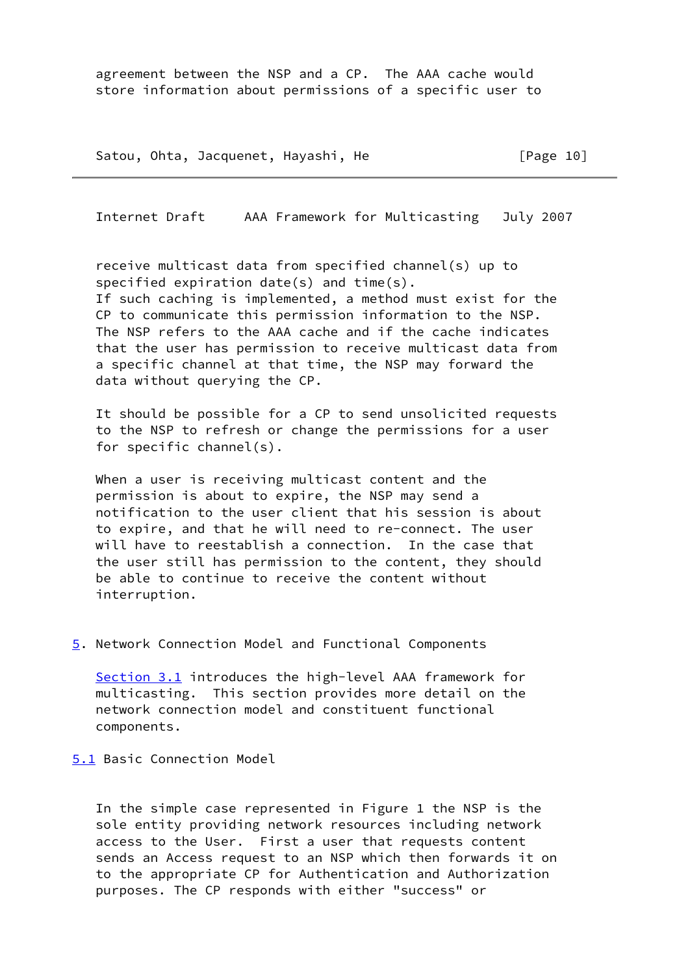agreement between the NSP and a CP. The AAA cache would store information about permissions of a specific user to

Satou, Ohta, Jacquenet, Hayashi, He [Page 10]

Internet Draft AAA Framework for Multicasting July 2007

 receive multicast data from specified channel(s) up to specified expiration date(s) and time(s). If such caching is implemented, a method must exist for the CP to communicate this permission information to the NSP. The NSP refers to the AAA cache and if the cache indicates that the user has permission to receive multicast data from a specific channel at that time, the NSP may forward the data without querying the CP.

 It should be possible for a CP to send unsolicited requests to the NSP to refresh or change the permissions for a user for specific channel(s).

 When a user is receiving multicast content and the permission is about to expire, the NSP may send a notification to the user client that his session is about to expire, and that he will need to re-connect. The user will have to reestablish a connection. In the case that the user still has permission to the content, they should be able to continue to receive the content without interruption.

<span id="page-11-0"></span>[5](#page-11-0). Network Connection Model and Functional Components

Section 3.1 introduces the high-level AAA framework for multicasting. This section provides more detail on the network connection model and constituent functional components.

<span id="page-11-1"></span>[5.1](#page-11-1) Basic Connection Model

 In the simple case represented in Figure 1 the NSP is the sole entity providing network resources including network access to the User. First a user that requests content sends an Access request to an NSP which then forwards it on to the appropriate CP for Authentication and Authorization purposes. The CP responds with either "success" or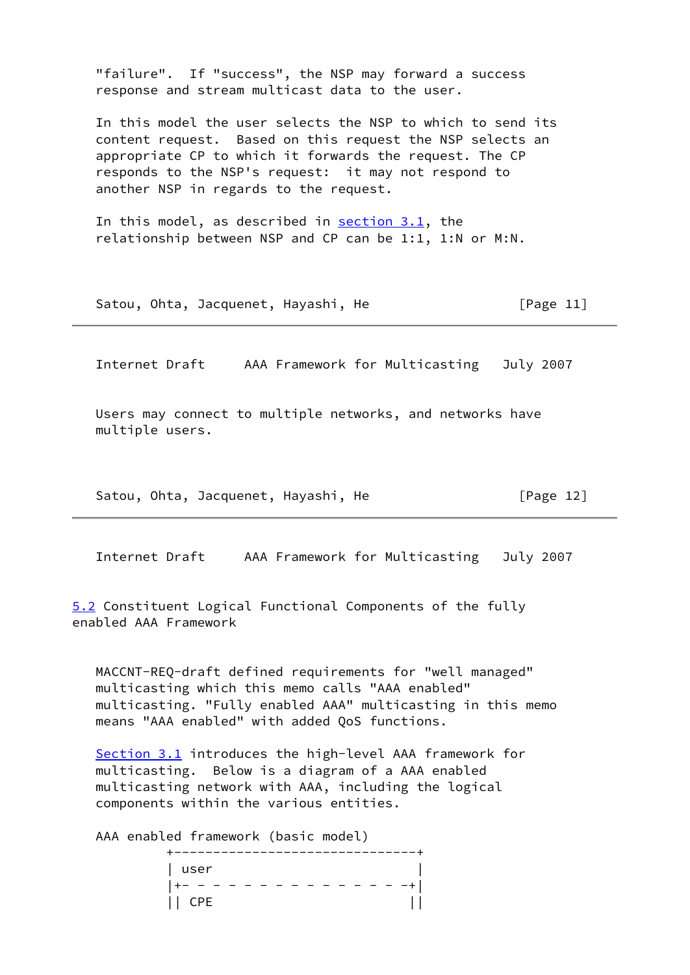"failure". If "success", the NSP may forward a success response and stream multicast data to the user. In this model the user selects the NSP to which to send its content request. Based on this request the NSP selects an appropriate CP to which it forwards the request. The CP responds to the NSP's request: it may not respond to another NSP in regards to the request. In this model, as described in section  $3.1$ , the relationship between NSP and CP can be 1:1, 1:N or M:N. Satou, Ohta, Jacquenet, Hayashi, He [Page 11]

Internet Draft AAA Framework for Multicasting July 2007

 Users may connect to multiple networks, and networks have multiple users.

Satou, Ohta, Jacquenet, Hayashi, He [Page 12]

Internet Draft AAA Framework for Multicasting July 2007

<span id="page-12-0"></span>[5.2](#page-12-0) Constituent Logical Functional Components of the fully enabled AAA Framework

 MACCNT-REQ-draft defined requirements for "well managed" multicasting which this memo calls "AAA enabled" multicasting. "Fully enabled AAA" multicasting in this memo means "AAA enabled" with added QoS functions.

Section 3.1 introduces the high-level AAA framework for multicasting. Below is a diagram of a AAA enabled multicasting network with AAA, including the logical components within the various entities.

AAA enabled framework (basic model)

| user   |                            |
|--------|----------------------------|
|        | $ +-- - - - - - - - - - -$ |
| II CPE |                            |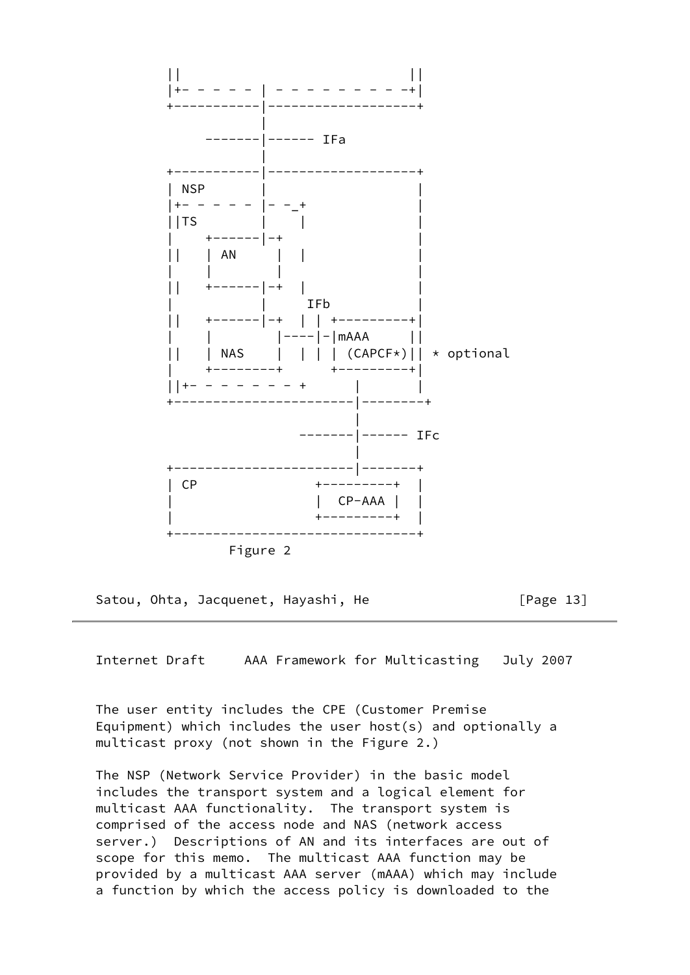

Satou, Ohta, Jacquenet, Hayashi, He [Page 13]

Internet Draft AAA Framework for Multicasting July 2007

 The user entity includes the CPE (Customer Premise Equipment) which includes the user host(s) and optionally a multicast proxy (not shown in the Figure 2.)

 The NSP (Network Service Provider) in the basic model includes the transport system and a logical element for multicast AAA functionality. The transport system is comprised of the access node and NAS (network access server.) Descriptions of AN and its interfaces are out of scope for this memo. The multicast AAA function may be provided by a multicast AAA server (mAAA) which may include a function by which the access policy is downloaded to the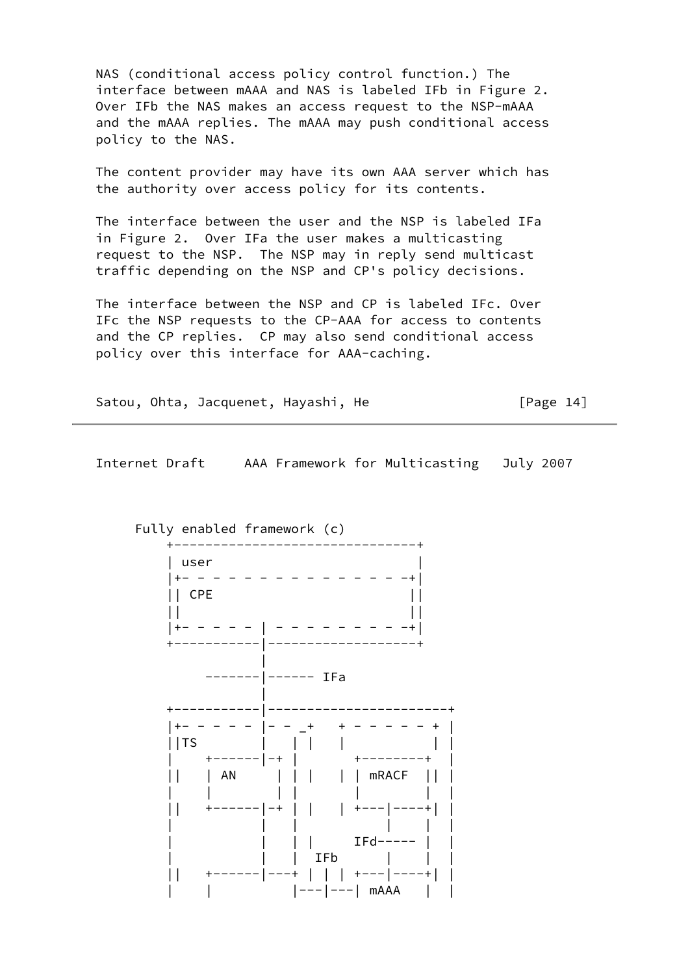NAS (conditional access policy control function.) The interface between mAAA and NAS is labeled IFb in Figure 2. Over IFb the NAS makes an access request to the NSP-mAAA and the mAAA replies. The mAAA may push conditional access policy to the NAS.

 The content provider may have its own AAA server which has the authority over access policy for its contents.

 The interface between the user and the NSP is labeled IFa in Figure 2. Over IFa the user makes a multicasting request to the NSP. The NSP may in reply send multicast traffic depending on the NSP and CP's policy decisions.

 The interface between the NSP and CP is labeled IFc. Over IFc the NSP requests to the CP-AAA for access to contents and the CP replies. CP may also send conditional access policy over this interface for AAA-caching.

Satou, Ohta, Jacquenet, Hayashi, He [Page 14]

Internet Draft AAA Framework for Multicasting July 2007

 +-------------------------------+ | user | |+- - - - - - - - - - - - - - -+| || CPE || || || |+- - - - - | - - - - - - - - -+| +-----------|-------------------+ | -------|------ IFa | +-----------|-----------------------+ |+- - - - - |- - \_+ + - - - - - + | ||TS | | | | | | | +------|-+ | +--------+ | || | AN | | | | | mRACF || | | | | | | | | || +------|-+ | | | +---|----+| | | | | | | | | | | | IFd----- | | | | | IFb | | | || +------|---+ | | | +---|----+| | | | |---|---| mAAA | |

#### Fully enabled framework (c)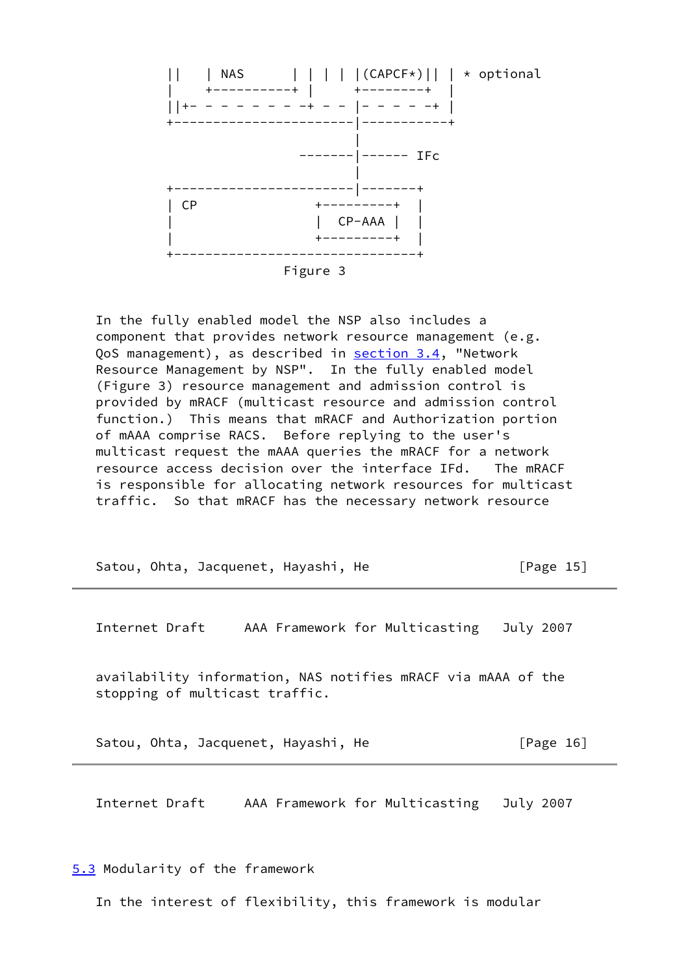

 In the fully enabled model the NSP also includes a component that provides network resource management (e.g. QoS management), as described in section 3.4, "Network Resource Management by NSP". In the fully enabled model (Figure 3) resource management and admission control is provided by mRACF (multicast resource and admission control function.) This means that mRACF and Authorization portion of mAAA comprise RACS. Before replying to the user's multicast request the mAAA queries the mRACF for a network resource access decision over the interface IFd. The mRACF is responsible for allocating network resources for multicast traffic. So that mRACF has the necessary network resource

| Satou, Ohta, Jacquenet, Hayashi, He                                                            | [Page $15$ ] |
|------------------------------------------------------------------------------------------------|--------------|
| Internet Draft<br>AAA Framework for Multicasting                                               | July 2007    |
| availability information, NAS notifies mRACF via mAAA of the<br>stopping of multicast traffic. |              |
| Satou, Ohta, Jacquenet, Hayashi, He                                                            | [Page $16$ ] |
| Internet Draft<br>AAA Framework for Multicasting                                               | July 2007    |

<span id="page-15-0"></span>[5.3](#page-15-0) Modularity of the framework

In the interest of flexibility, this framework is modular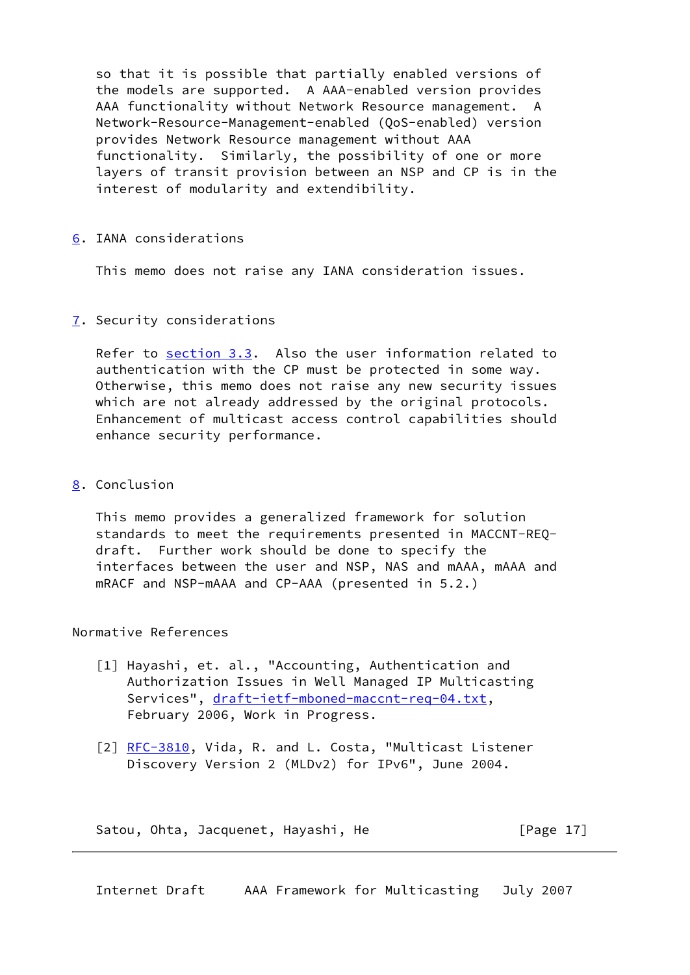so that it is possible that partially enabled versions of the models are supported. A AAA-enabled version provides AAA functionality without Network Resource management. A Network-Resource-Management-enabled (QoS-enabled) version provides Network Resource management without AAA functionality. Similarly, the possibility of one or more layers of transit provision between an NSP and CP is in the interest of modularity and extendibility.

### <span id="page-16-0"></span>[6](#page-16-0). IANA considerations

This memo does not raise any IANA consideration issues.

### <span id="page-16-1"></span>[7](#page-16-1). Security considerations

 Refer to section 3.3. Also the user information related to authentication with the CP must be protected in some way. Otherwise, this memo does not raise any new security issues which are not already addressed by the original protocols. Enhancement of multicast access control capabilities should enhance security performance.

# <span id="page-16-2"></span>[8](#page-16-2). Conclusion

 This memo provides a generalized framework for solution standards to meet the requirements presented in MACCNT-REQ draft. Further work should be done to specify the interfaces between the user and NSP, NAS and mAAA, mAAA and mRACF and NSP-mAAA and CP-AAA (presented in 5.2.)

Normative References

- [1] Hayashi, et. al., "Accounting, Authentication and Authorization Issues in Well Managed IP Multicasting Services", [draft-ietf-mboned-maccnt-req-04.txt](https://datatracker.ietf.org/doc/pdf/draft-ietf-mboned-maccnt-req-04.txt), February 2006, Work in Progress.
- [2] [RFC-3810,](https://datatracker.ietf.org/doc/pdf/rfc3810) Vida, R. and L. Costa, "Multicast Listener Discovery Version 2 (MLDv2) for IPv6", June 2004.

Satou, Ohta, Jacquenet, Hayashi, He [Page 17]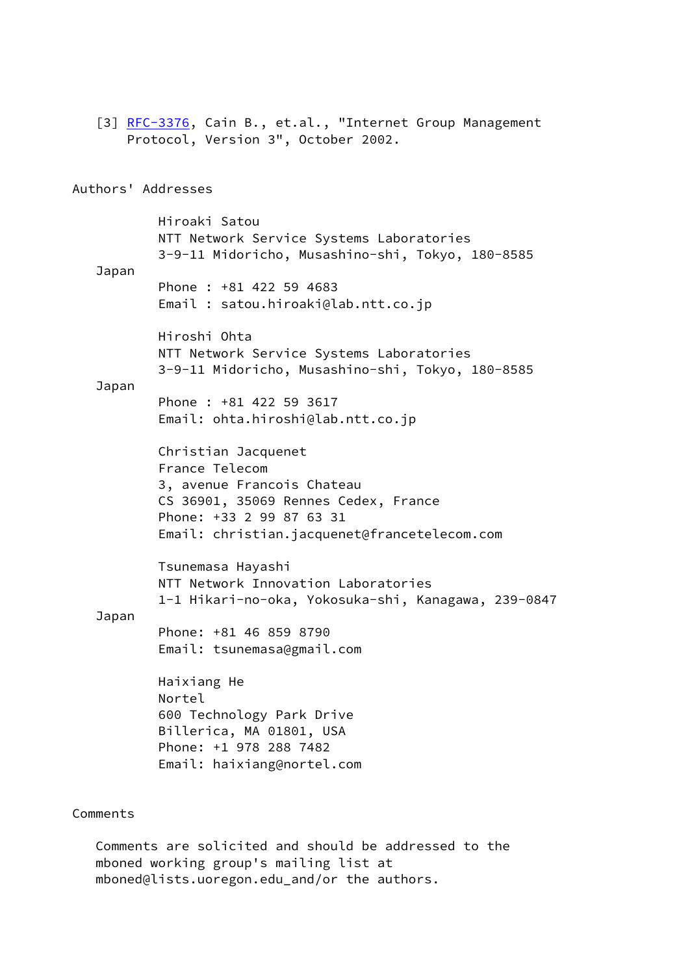[3] [RFC-3376,](https://datatracker.ietf.org/doc/pdf/rfc3376) Cain B., et.al., "Internet Group Management Protocol, Version 3", October 2002. Authors' Addresses Hiroaki Satou NTT Network Service Systems Laboratories 3-9-11 Midoricho, Musashino-shi, Tokyo, 180-8585 Japan Phone : +81 422 59 4683 Email : satou.hiroaki@lab.ntt.co.jp Hiroshi Ohta NTT Network Service Systems Laboratories 3-9-11 Midoricho, Musashino-shi, Tokyo, 180-8585 Japan Phone : +81 422 59 3617 Email: ohta.hiroshi@lab.ntt.co.jp Christian Jacquenet France Telecom 3, avenue Francois Chateau CS 36901, 35069 Rennes Cedex, France Phone: +33 2 99 87 63 31 Email: christian.jacquenet@francetelecom.com Tsunemasa Hayashi NTT Network Innovation Laboratories 1-1 Hikari-no-oka, Yokosuka-shi, Kanagawa, 239-0847 Japan Phone: +81 46 859 8790 Email: tsunemasa@gmail.com Haixiang He Nortel 600 Technology Park Drive Billerica, MA 01801, USA Phone: +1 978 288 7482 Email: haixiang@nortel.com Comments

 Comments are solicited and should be addressed to the mboned working group's mailing list at mboned@lists.uoregon.edu\_and/or the authors.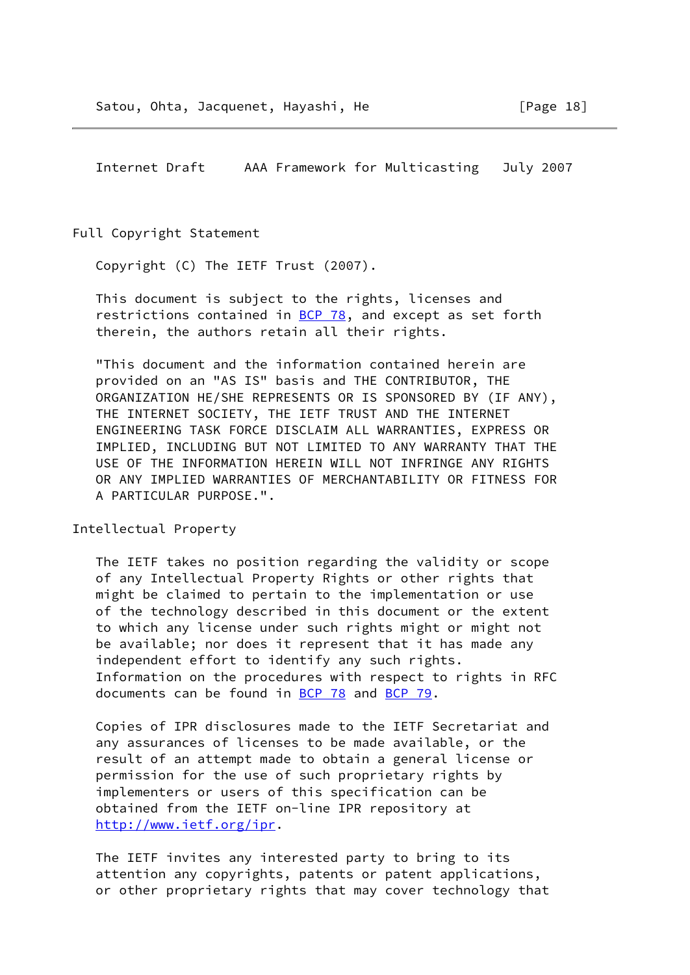Full Copyright Statement

Copyright (C) The IETF Trust (2007).

 This document is subject to the rights, licenses and restrictions contained in  $BCP$  78, and except as set forth therein, the authors retain all their rights.

 "This document and the information contained herein are provided on an "AS IS" basis and THE CONTRIBUTOR, THE ORGANIZATION HE/SHE REPRESENTS OR IS SPONSORED BY (IF ANY), THE INTERNET SOCIETY, THE IETF TRUST AND THE INTERNET ENGINEERING TASK FORCE DISCLAIM ALL WARRANTIES, EXPRESS OR IMPLIED, INCLUDING BUT NOT LIMITED TO ANY WARRANTY THAT THE USE OF THE INFORMATION HEREIN WILL NOT INFRINGE ANY RIGHTS OR ANY IMPLIED WARRANTIES OF MERCHANTABILITY OR FITNESS FOR A PARTICULAR PURPOSE.".

Intellectual Property

 The IETF takes no position regarding the validity or scope of any Intellectual Property Rights or other rights that might be claimed to pertain to the implementation or use of the technology described in this document or the extent to which any license under such rights might or might not be available; nor does it represent that it has made any independent effort to identify any such rights. Information on the procedures with respect to rights in RFC documents can be found in [BCP 78](https://datatracker.ietf.org/doc/pdf/bcp78) and [BCP 79](https://datatracker.ietf.org/doc/pdf/bcp79).

 Copies of IPR disclosures made to the IETF Secretariat and any assurances of licenses to be made available, or the result of an attempt made to obtain a general license or permission for the use of such proprietary rights by implementers or users of this specification can be obtained from the IETF on-line IPR repository at <http://www.ietf.org/ipr>.

 The IETF invites any interested party to bring to its attention any copyrights, patents or patent applications, or other proprietary rights that may cover technology that